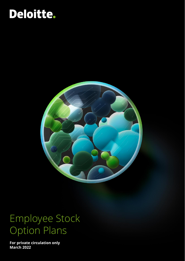# Deloitte.



## Employee Stock Option Plans

**For private circulation only March 2022**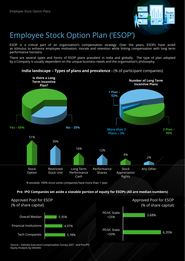

### Employee Stock Option Plan ('ESOP')

ESOP is a critical part of an organisation's compensation strategy. Over the years, ESOPs have acted as stimulus to enhance employee motivation, morale and retention while linking compensation with long term performance horizons.

There are several types and forms of ESOP plans prevalent in India and globally. The type of plan adopted by a Company is usually dependent on the unique business needs and the organisation's philosophy.



**India landscape – Types of plans and prevalence -** (% of participant companies)

% exceeds 100% since some companies have more than 1 plan

#### **Pre- IPO Companies set aside a sizeable portion of equity for ESOPs (All are median numbers)**



Source – Deloitte Executive Compensation Survey 2021 and Pre-IPO Equity Analysis by Deloitte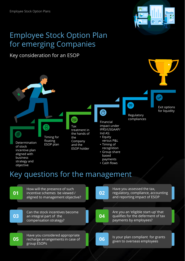

### Employee Stock Option Plan for emerging Companies

### Key consideration for an ESOP



## Key questions for the management

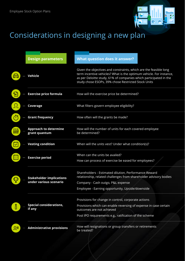

## Considerations in designing a new plan

|                       | <b>Design parameters</b>                                  | <b>What question does it answer?</b>                                                                                                                                                                                                                                 |  |
|-----------------------|-----------------------------------------------------------|----------------------------------------------------------------------------------------------------------------------------------------------------------------------------------------------------------------------------------------------------------------------|--|
| Ó                     | <b>Vehicle</b>                                            | Given the objectives and constraints, which are the feasible long<br>term incentive vehicles? What is the optimum vehicle. For instance,<br>as per Deloitte study, 61% of companies which participated in the<br>study chose ESOPs, 39% chose Restricted Stock Units |  |
| $\mathbb{Z}$          | <b>Exercise price formula</b>                             | How will the exercise price be determined?                                                                                                                                                                                                                           |  |
|                       | Coverage                                                  | What filters govern employee eligibility?                                                                                                                                                                                                                            |  |
| $\tilde{\cap}$        | <b>Grant frequency</b>                                    | How often will the grants be made?                                                                                                                                                                                                                                   |  |
| <b>AAA</b>            | <b>Approach to determine</b><br>grant quantum             | How will the number of units for each covered employee<br>be determined?                                                                                                                                                                                             |  |
| $ \mathcal{S} $       | <b>Vesting condition</b>                                  | When will the units vest? Under what condition(s)?                                                                                                                                                                                                                   |  |
|                       | <b>Exercise period</b>                                    | When can the units be availed?<br>How can process of exercise be eased for employees?                                                                                                                                                                                |  |
|                       | <b>Stakeholder implications</b><br>under various scenario | Shareholders - Estimated dilution, Performance-Reward<br>relationship, related challenges from shareholder advisory bodies                                                                                                                                           |  |
|                       |                                                           | Company - Cash outgo, P&L expense<br>Employee - Earning opportunity, Upside/downside                                                                                                                                                                                 |  |
| $\boldsymbol{\delta}$ | <b>Special considerations,</b><br>if any                  | Provisions for change in control, corporate actions<br>Provisions which can enable reversing of expense in case certain                                                                                                                                              |  |
|                       |                                                           | outcomes are not achieved<br>Post IPO requirements e.g., ratification of the scheme                                                                                                                                                                                  |  |
| ⊥Σ                    | <b>Administrative provisions</b>                          | How will resignations or group transfers or retirements<br>be treated?                                                                                                                                                                                               |  |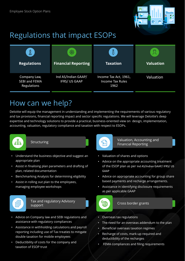

### Regulations that impact ESOPs

| <b>Regulations</b>                                  | 後<br><b>Financial Reporting</b>             | <b>Taxation</b>                                          | <b>Valuation</b> |
|-----------------------------------------------------|---------------------------------------------|----------------------------------------------------------|------------------|
| Company Law,<br><b>SEBI and FEMA</b><br>Regulations | Ind AS/Indian GAAP/<br><b>IFRS/ US GAAP</b> | Income Tax Act, 1961,<br><b>Income Tax Rules</b><br>1962 | Valuation        |

### How can we help?

Deloitte will equip the management in understanding and implementing the requirements of various regulatory and tax provisions, financial reporting impact and sector specific regulations. We will leverage Deloitte's deep expertise and technology solutions to provide a practical, business-oriented view on design, implementation, accounting, valuation, regulatory compliance and taxation with respect to ESOPs.



#### **Structuring**

- Understand the business objective and suggest an appropriate plan
- Assist in finalising plan parameters and drafting of plan, related documentation
- Benchmarking Analysis for determining eligibility
- Assist in rolling out plan to the employees, managing employee workshops



Tax and regulatory Advisory support

- Advice on Company law and SEBI regulations and assistance with regulatory compliances
- Assistance in withholding calculations and payroll reporting including use of Tax treaties to mitigate double taxation for mobile employees
- Deductibility of costs for the company and taxation of ESOP trust



Valuation, Accounting and Financial Reporting

- Valuation of shares and options
- Advice on the appropriate accounting treatment of the ESOP plan as per Ind AS/Indian GAAP/ IFRS/ US GAAP
- Advice on appropriate accounting for group share based payments and recharge arrangements.
- Assistance in identifying disclosure requirements as per applicable GAAP



Cross border grants

- Overseas tax regulations
- The need for an overseas addendum to the plan
- Beneficial overseas taxation regimes
- Recharge of costs, mark-up required and deductibility of the recharges
- FEMA compliances and filing requirements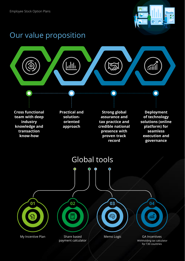

### Our value proposition